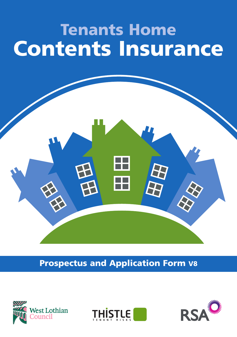# **Tenants Home Contents Insurance**

### **Prospectus and Application Form V8**





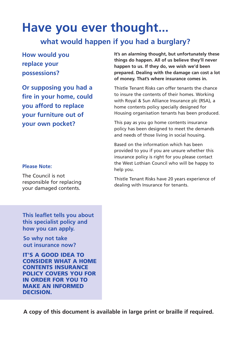## **Have you ever thought...**

#### **what would happen if you had a burglary?**

#### **How would you replace your possessions?**

**Or supposing you had a fire in your home, could you afford to replace your furniture out of your own pocket?**

#### **Please Note:**

The Council is not responsible for replacing your damaged contents.

**It's an alarming thought, but unfortunately these things do happen. All of us believe they'll never happen to us. If they do, we wish we'd been prepared. Dealing with the damage can cost a lot of money. That's where insurance comes in.**

Thistle Tenant Risks can offer tenants the chance to insure the contents of their homes. Working with Royal & Sun Alliance Insurance plc (RSA), a home contents policy specially designed for Housing organisation tenants has been produced.

This pay as you go home contents insurance policy has been designed to meet the demands and needs of those living in social housing.

Based on the information which has been provided to you if you are unsure whether this insurance policy is right for you please contact the West Lothian Council who will be happy to help you.

Thistle Tenant Risks have 20 years experience of dealing with Insurance for tenants.

**This leaflet tells you about this specialist policy and how you can apply.**

**So why not take out insurance now?**

**IT'S A GOOD IDEA TO CONSIDER WHAT A HOME CONTENTS INSURANCE POLICY COVERS YOU FOR IN ORDER FOR YOU TO MAKE AN INFORMED DECISION.**

**A copy of this document is available in large print or braille if required.**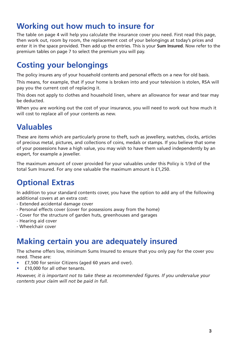### **Working out how much to insure for**

The table on page 4 will help you calculate the insurance cover you need. First read this page, then work out, room by room, the replacement cost of your belongings at today's prices and enter it in the space provided. Then add up the entries. This is your **Sum Insured**. Now refer to the premium tables on page 7 to select the premium you will pay.

### **Costing your belongings**

The policy insures any of your household contents and personal effects on a new for old basis.

This means, for example, that if your home is broken into and your television is stolen, RSA will pay you the current cost of replacing it.

This does not apply to clothes and household linen, where an allowance for wear and tear may be deducted.

When you are working out the cost of your insurance, you will need to work out how much it will cost to replace all of your contents as new.

### **Valuables**

These are items which are particularly prone to theft, such as jewellery, watches, clocks, articles of precious metal, pictures, and collections of coins, medals or stamps. If you believe that some of your possessions have a high value, you may wish to have them valued independently by an expert, for example a jeweller.

The maximum amount of cover provided for your valuables under this Policy is 1/3rd of the total Sum Insured. For any one valuable the maximum amount is £1,250.

### **Optional Extras**

In addition to your standard contents cover, you have the option to add any of the following additional covers at an extra cost:

- Extended accidental damage cover
- Personal effects cover (cover for possessions away from the home)
- Cover for the structure of garden huts, greenhouses and garages
- Hearing aid cover
- Wheelchair cover

#### **Making certain you are adequately insured**

The scheme offers low, minimum Sums Insured to ensure that you only pay for the cover you need. These are:

- £7,500 for senior Citizens (aged 60 years and over).
- £10,000 for all other tenants.

*However, it is important not to take these as recommended figures. If you undervalue your contents your claim will not be paid in full.*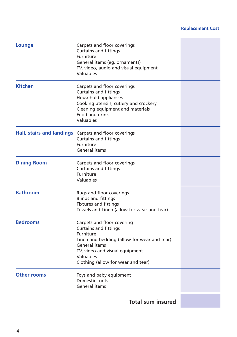#### **Replacement Cost**and the control of the control of

| Lounge             | Carpets and floor coverings<br><b>Curtains and fittings</b><br>Furniture<br>General items (eq. ornaments)<br>TV, video, audio and visual equipment<br>Valuables                                                              |  |
|--------------------|------------------------------------------------------------------------------------------------------------------------------------------------------------------------------------------------------------------------------|--|
| <b>Kitchen</b>     | Carpets and floor coverings<br><b>Curtains and fittings</b><br>Household appliances<br>Cooking utensils, cutlery and crockery<br>Cleaning equipment and materials<br>Food and drink<br>Valuables                             |  |
|                    | Hall, stairs and landings Carpets and floor coverings<br><b>Curtains and fittings</b><br>Furniture<br>General items                                                                                                          |  |
| <b>Dining Room</b> | Carpets and floor coverings<br><b>Curtains and fittings</b><br>Furniture<br>Valuables                                                                                                                                        |  |
| <b>Bathroom</b>    | Rugs and floor coverings<br><b>Blinds and fittings</b><br><b>Fixtures and fittings</b><br>Towels and Linen (allow for wear and tear)                                                                                         |  |
| <b>Bedrooms</b>    | Carpets and floor covering<br><b>Curtains and fittings</b><br>Furniture<br>Linen and bedding (allow for wear and tear)<br>General items<br>TV, video and visual equipment<br>Valuables<br>Clothing (allow for wear and tear) |  |
| <b>Other rooms</b> | Toys and baby equipment<br>Domestic tools<br>General items                                                                                                                                                                   |  |
|                    | <b>Total sum insured</b>                                                                                                                                                                                                     |  |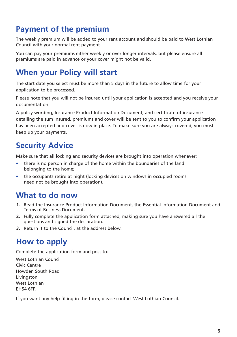### **Payment of the premium**

The weekly premium will be added to your rent account and should be paid to West Lothian Council with your normal rent payment.

You can pay your premiums either weekly or over longer intervals, but please ensure all premiums are paid in advance or your cover might not be valid.

### **When your Policy will start**

The start date you select must be more than 5 days in the future to allow time for your application to be processed.

Please note that you will not be insured until your application is accepted and you receive your documentation.

A policy wording, Insurance Product Information Document, and certificate of insurance detailing the sum insured, premiums and cover will be sent to you to confirm your application has been accepted and cover is now in place. To make sure you are always covered, you must keep up your payments.

### **Security Advice**

Make sure that all locking and security devices are brought into operation whenever:

- there is no person in charge of the home within the boundaries of the land belonging to the home;
- the occupants retire at night (locking devices on windows in occupied rooms need not be brought into operation).

### **What to do now**

- **1.** Read the Insurance Product Information Document, the Essential Information Document and Terms of Business Document.
- **2.** Fully complete the application form attached, making sure you have answered all the questions and signed the declaration.
- **3.** Return it to the Council, at the address below.

### **How to apply**

Complete the application form and post to:

West Lothian Council Civic Centre Howden South Road Livingston West Lothian EH54 6FF.

If you want any help filling in the form, please contact West Lothian Council.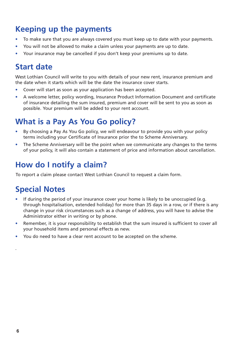### **Keeping up the payments**

- To make sure that you are always covered you must keep up to date with your payments.
- You will not be allowed to make a claim unless your payments are up to date.
- Your insurance may be cancelled if you don't keep your premiums up to date.

### **Start date**

West Lothian Council will write to you with details of your new rent, insurance premium and the date when it starts which will be the date the insurance cover starts.

- Cover will start as soon as your application has been accepted.
- A welcome letter, policy wording, Insurance Product Information Document and certificate of insurance detailing the sum insured, premium and cover will be sent to you as soon as possible. Your premium will be added to your rent account.

### **What is a Pay As You Go policy?**

- By choosing a Pay As You Go policy, we will endeavour to provide you with your policy terms including your Certificate of Insurance prior the to Scheme Anniversary.
- The Scheme Anniversary will be the point when we communicate any changes to the terms of your policy, it will also contain a statement of price and information about cancellation.

### **How do I notify a claim?**

To report a claim please contact West Lothian Council to request a claim form.

### **Special Notes**

- If during the period of your insurance cover your home is likely to be unoccupied (e.g. through hospitalisation, extended holiday) for more than 35 days in a row, or if there is any change in your risk circumstances such as a change of address, you will have to advise the Administrator either in writing or by phone.
- Remember, it is your responsibility to establish that the sum insured is sufficient to cover all your household items and personal effects as new.
- You do need to have a clear rent account to be accepted on the scheme.

.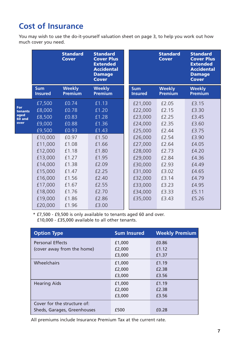### **Cost of Insurance**

You may wish to use the do-it-yourself valuation sheet on page 3, to help you work out how much cover you need.

|                |                              | <b>Standard</b><br><b>Cover</b> | <b>Standard</b><br><b>Cover Plus</b><br><b>Extended</b><br><b>Accidental</b><br><b>Damage</b><br><b>Cover</b> |                              | <b>Standard</b><br><b>Cover</b> | <b>Standard</b><br><b>Cover Plus</b><br><b>Extended</b><br><b>Accidental</b><br><b>Damage</b><br><b>Cover</b> |
|----------------|------------------------------|---------------------------------|---------------------------------------------------------------------------------------------------------------|------------------------------|---------------------------------|---------------------------------------------------------------------------------------------------------------|
|                | <b>Sum</b><br><b>Insured</b> | Weekly<br><b>Premium</b>        | <b>Weekly</b><br><b>Premium</b>                                                                               | <b>Sum</b><br><b>Insured</b> | <b>Weekly</b><br><b>Premium</b> | <b>Weekly</b><br><b>Premium</b>                                                                               |
|                | £7,500                       | £0.74                           | £1.13                                                                                                         | £21,000                      | £2.05                           | £3.15                                                                                                         |
| For<br>tenants | £8,000                       | £0.78                           | £1.20                                                                                                         | £22,000                      | £2.15                           | £3.30                                                                                                         |
| aged<br>60 and | £8,500                       | £0.83                           | £1.28                                                                                                         | £23,000                      | £2.25                           | £3.45                                                                                                         |
| over           | £9,000                       | £0.88                           | £1.36                                                                                                         | £24,000                      | £2.35                           | £3.60                                                                                                         |
|                | £9,500                       | £0.93                           | £1.43                                                                                                         | £25,000                      | £2.44                           | £3.75                                                                                                         |
|                | £10,000                      | £0.97                           | £1.50                                                                                                         | £26,000                      | £2.54                           | £3.90                                                                                                         |
|                | £11,000                      | £1.08                           | £1.66                                                                                                         | £27,000                      | £2.64                           | £4.05                                                                                                         |
|                | £12,000                      | £1.18                           | £1.80                                                                                                         | £28,000                      | £2.73                           | £4.20                                                                                                         |
|                | £13,000                      | £1.27                           | £1.95                                                                                                         | £29,000                      | £2.84                           | £4.36                                                                                                         |
|                | £14,000                      | £1.38                           | £2.09                                                                                                         | £30,000                      | £2.93                           | £4.49                                                                                                         |
|                | £15,000                      | £1.47                           | £2.25                                                                                                         | £31,000                      | £3.02                           | £4.65                                                                                                         |
|                | £16,000                      | £1.56                           | £2.40                                                                                                         | £32,000                      | £3.14                           | £4.79                                                                                                         |
|                | £17,000                      | £1.67                           | £2.55                                                                                                         | £33,000                      | £3.23                           | £4.95                                                                                                         |
|                | £18,000                      | £1.76                           | £2.70                                                                                                         | £34,000                      | £3.33                           | £5.11                                                                                                         |
|                | £19,000                      | £1.86                           | £2.86                                                                                                         | £35,000                      | £3.43                           | £5.26                                                                                                         |
|                | £20,000                      | £1.96                           | £3.00                                                                                                         |                              |                                 |                                                                                                               |

\* £7,500 - £9,500 is only available to tenants aged 60 and over. £10,000 - £35,000 available to all other tenants.

| <b>Option Type</b>          | <b>Sum Insured</b> | <b>Weekly Premium</b> |
|-----------------------------|--------------------|-----------------------|
| <b>Personal Effects</b>     | £1,000             | £0.86                 |
| (cover away from the home)  | £2,000             | £1.12                 |
|                             | £3,000             | £1.37                 |
| Wheelchairs                 | £1,000             | £1.19                 |
|                             | £2,000             | £2.38                 |
|                             | £3,000             | £3.56                 |
| <b>Hearing Aids</b>         | £1,000             | £1.19                 |
|                             | £2,000             | £2.38                 |
|                             | £3,000             | £3.56                 |
| Cover for the structure of: |                    |                       |
| Sheds, Garages, Greenhouses | £500               | £0.28                 |

All premiums include Insurance Premium Tax at the current rate.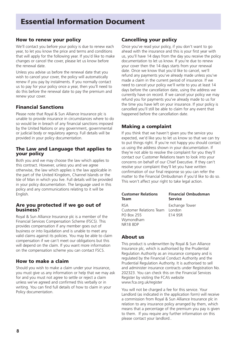### **Essential Information Document**

#### **How to renew your policy**

We'll contact you before your policy is due to renew each year, to let you know the price and terms and conditions that will apply for the following year. If you'd like to make changes or cancel the cover, please let us know before the renewal date.

Unless you advise us before the renewal date that you wish to cancel your cover, the policy will automatically renew if you pay by instalments. If you normally contact us to pay for your policy once a year, then you'll need to do this before the renewal date to pay the premium and renew your cover.

#### **Financial Sanctions**

Please note that Royal & Sun Alliance Insurance plc is unable to provide insurance in circumstances where to do so would be in breach of any financial sanctions imposed by the United Nations or any government, governmental or judicial body or regulatory agency. Full details will be provided in your policy documentation.

#### **The Law and Language that applies to your policy**

Both you and we may choose the law which applies to this contract. However, unless you and we agree otherwise, the law which applies is the law applicable in the part of the United Kingdom, Channel Islands or the Isle of Man in which you live. Full details will be provided in your policy documentation. The language used in this policy and any communications relating to it will be English.

#### **Are you protected if we go out of business?**

Royal & Sun Alliance Insurance plc is a member of the Financial Services Compensation Scheme (FSCS). This provides compensation if any member goes out of business or into liquidation and is unable to meet any valid claims against its policies. You may be able to claim compensation if we can't meet our obligations but this will depend on the claim. If you want more information on the compensation scheme you can contact FSCS.

#### **How to make a claim**

Should you wish to make a claim under your insurance, you must give us any information or help that we may ask for and you must not agree to settle or reject a claim unless we've agreed and confirmed this verbally or in writing. You can find full details of how to claim in your Policy documentation.

#### **Cancelling your policy**

Once you've read your policy, if you don't want to go ahead with the insurance and this is your first year with us, you'll have 14 days from the day you receive the policy documentation to let us know. If you're due to renew your cover then the 14 days starts from your renewal date. Once we know that you'd like to cancel, we'll refund any payments you've already made unless you've made a claim in the current period of insurance. If we need to cancel your policy we'll write to you at least 14 days before the cancellation date, using the address we currently have on record. If we cancel your policy we may refund you for payments you've already made to us for the time you have left on your insurance. If your policy is cancelled you'll still be able to claim for any event that happened before the cancellation date.

#### **Making a complaint**

If you think that we haven't given you the service you expected, we'd like you to let us know so that we can try to put things right. If you're not happy you should contact us using the address shown in your documentation. If they're not able to resolve the complaint for you they'll contact our Customer Relations team to look into your concerns on behalf of our Chief Executive. If they can't resolve your complaint they'll let you have written confirmation of our final response so you can refer the matter to the Financial Ombudsman if you'd like to do so. This won't affect your right to take legal action.

| <b>Customer Relations</b><br>Team | <b>Financial Ombudsman</b><br>Service |
|-----------------------------------|---------------------------------------|
| <b>RSA</b>                        | Exchange Tower                        |
| <b>Customer Relations Team</b>    | London                                |
| PO Box 255                        | E14 9SR                               |
| Wymondham                         |                                       |
| NR <sub>18</sub> 8DP              |                                       |

#### **About us**

This product is underwritten by Royal & Sun Alliance Insurance plc, which is authorised by the Prudential Regulation Authority as an insurance company and is regulated by the Financial Conduct Authority and the Prudential Regulation Authority. It is authorised to sell and administer insurance contracts under Registration No. 202323. You can check this on the Financial Services Register by visiting the FCA's website www.fca.org.uk/register

You will not be charged a fee for this service. Your Landlord (as indicated in the application form) will receive a commission from Royal & Sun Alliance Insurance plc in relation to any insurance policy arranged by them, which means that a percentage of the premium you pay is given to them. If you require any further information on this please contact your landlord..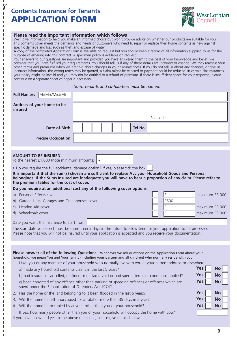#### **Contents Insurance for Tenants APPLICATION FORM**

.  $\mathcal{U}$  $\mathbf{I}$ 

 $\blacksquare$ J. J. T T J.  $\mathbf{I}$ I I J. J. J. Г Г J. J. П п П

> Т П r r п J. J. J. п J. J. T Г п Г П Т Г Г Л Г J. I I J. J. J. Г Г п л Ï л п т Г I л J. Ï J. J. J. Ï Г л п Ï л



#### **Please read the important information which follows**

We'll give information to help you make an informed choice but won't provide advice on whether our products are suitable for you. This contents cover meets the demands and needs of customers who need to repair or replace their home contents as new against specific damage and loss such as theft and escape of water.

A copy of the completed Application Form is available on request but you should keep a record of all information supplied to us for the purpose of entering into this contract. A specimen policy is available on request.

Your answers to our questions are important and provided you have answered them to the best of your knowledge and belief, we consider that you have fulfilled your requirements. You should tell us if any of these details are incorrect or change. We may reassess your cover, terms and premiums when we are told about changes in your circumstances. If you do not tell us about any changes, or give us incorrect information, the wrong terms may be quoted, a claim might be rejected or payment could be reduced. In certain circumstances your policy might be invalid and you may not be entitled to a refund of premium. If there is insufficient space for your response, please continue on a separate sheet of paper if necessary.

#### *(Joint tenants and co-habitees must be named)*

| Mr/Mrs/Miss/Ms<br><b>Full Name/s</b>                                                                                                                                                                                                    |                         |
|-----------------------------------------------------------------------------------------------------------------------------------------------------------------------------------------------------------------------------------------|-------------------------|
| Address of your home to be<br>insured<br>Postcode                                                                                                                                                                                       |                         |
|                                                                                                                                                                                                                                         |                         |
| Date of Birth<br>Tel No.                                                                                                                                                                                                                |                         |
| <b>Precise Occupation</b>                                                                                                                                                                                                               |                         |
|                                                                                                                                                                                                                                         |                         |
| <b>AMOUNT TO BE INSURED</b><br>£<br>To the nearest £1,000 (note minimum amounts)                                                                                                                                                        |                         |
| . Do you require the full accidental damage option? If yes, please tick the box                                                                                                                                                         |                         |
| It is important that the sum(s) chosen are sufficient to replace ALL your Household Goods and Personal<br>Belongings. If the Sums Insured are inadequate you will have to bear a proportion of any claim. Please refer to               |                         |
| the premium tables for the cost of cover.<br>Do you require at an additional cost any of the following cover options:                                                                                                                   |                         |
| £<br>a) Personal Effects cover                                                                                                                                                                                                          | maximum £3,000          |
| £500<br>b) Garden Huts, Garages and Greenhouses cover                                                                                                                                                                                   |                         |
| £<br>Hearing Aid cover<br>C)                                                                                                                                                                                                            | maximum £3,000          |
| £<br>d) Wheelchair cover                                                                                                                                                                                                                | maximum £3,000          |
|                                                                                                                                                                                                                                         |                         |
| Date you want the insurance to start from                                                                                                                                                                                               |                         |
| The start date you select must be more than 5 days in the future to allow time for your application to be processed.<br>Please note that you will not be insured until your application is accepted and you receive your documentation. |                         |
|                                                                                                                                                                                                                                         |                         |
|                                                                                                                                                                                                                                         |                         |
| Please answer all of the following Questions Whenever we ask questions on the Application Form about your<br>household, we mean You and Your family (including your partner and all children) who normally reside with you.             |                         |
| 1. Have you or any member of your household who normally live with you at your current address or elsewhere                                                                                                                             |                         |
| a) made any household contents claims in the last 5 years?                                                                                                                                                                              | <b>Yes</b><br><b>No</b> |
| b) had insurance cancelled, declined or declared void or had special terms or conditions applied?                                                                                                                                       | <b>Yes</b><br>No        |
| c) been convicted of any offence other than parking or speeding offences or offences which are<br>spent under the Rehabilitation of Offenders Act 1974?                                                                                 | Yes<br>No               |
| 2. Has the home or the land belonging to it been flooded in the last 5 years?                                                                                                                                                           | <b>Yes</b><br><b>No</b> |
| 3. Will the home be left unoccupied for a total of more than 35 days in a year?                                                                                                                                                         | Yes<br>No               |
| 4. Will the home be occupied by anyone other than you or your household?                                                                                                                                                                | <b>Yes</b><br><b>No</b> |
| If yes, how many people other than you or your household will occupy the home with you?                                                                                                                                                 |                         |
| If you have answered yes to the above questions, please give details below.                                                                                                                                                             |                         |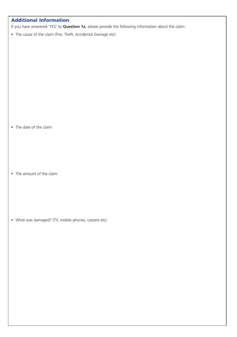#### **Additional Information**

If you have answered 'YES' to **Question 1a**, please provide the following information about the claim:

• The cause of the claim (Fire, Theft, Accidental Damage etc)

• The date of the claim

• The amount of the claim

• What was damaged? (TV, mobile phones, carpets etc)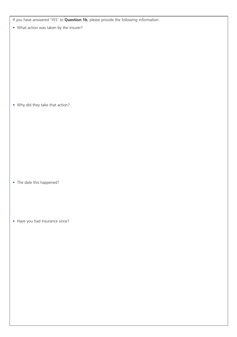If you have answered 'YES' to **Question 1b**, please provide the following information:

• What action was taken by the insurer?

• Why did they take that action?

- The date this happened?
- Have you had insurance since?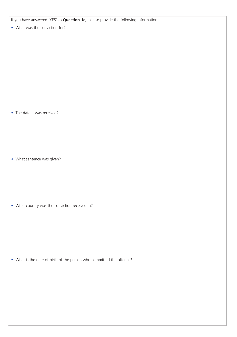If you have answered 'YES' to **Question 1c**, please provide the following information:

• What was the conviction for?

• The date it was received?

• What sentence was given?

• What country was the conviction received in?

• What is the date of birth of the person who committed the offence?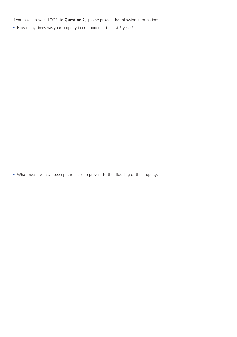If you have answered 'YES' to **Question 2**, please provide the following information:

• How many times has your property been flooded in the last 5 years?

• What measures have been put in place to prevent further flooding of the property?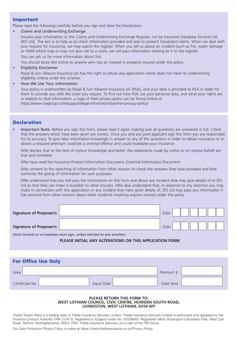#### **Important**

Please read the following carefully before you sign and date the Declaration.

• Claims and Underwriting Exchange

 Insurers pass information to the Claims and Underwriting Exchange Register, run by Insurance Database Services Ltd (IDS Ltd). The aim is to help us to check information provided and also to prevent fraudulent claims. When we deal with your request for insurance, we may search the register. When you tell us about an incident (such as fire, water damage or theft) which may or may not give rise to a claim, we will pass information relating to it to the register. You can ask us for more information about this.

You should show this notice to anyone who has an interest in property insured under the policy.

• Eligibility Disclaimer

 Royal & Sun Alliance Insurance plc has the right to refuse any application which does not meet its underwriting eligibility criteria under the scheme.

• How We Use Your Information

 Your policy is underwritten by Royal & Sun Alliance Insurance plc (RSA), and your data is provided to RSA in order for them to provide you with the cover you require. To find out how RSA use your personal data, and what your rights are in relation to that information, a copy of their privacy policy can be found online at https://www.rsagroup.com/support/legal-information/partner-privacy-policy/

#### **Declaration**

• Important Note: Before you sign this form, please read it again making sure all questions are answered in full. Check that the answers which have been given are correct. Once you and any joint applicant sign this form you are responsible for its accuracy. To give false information knowingly in answer to any of the questions in order to obtain insurance or to obtain a reduced premium could be a criminal offence and could invalidate your insurance.

 I/We declare that to the best of my/our knowledge and belief, the statements made by me/us or on my/our behalf are true and complete.

I/We have read the Insurance Product Information Document, Essential Information Document.

 I/We consent to the searching of information from other insurers to check the answers I/we have provided and I/we authorise the giving of information for such purposes.

 I/We understand that you will pass the information on this form and about any incident I/we may give details of to IDS Ltd so that they can make it available to other insurers. I/We also understand that, in response to any searches you may make in connection with this application or any incident I/we have given details of, IDS Ltd may pass you information it has received from other insurers about other incidents involving anyone insured under the policy.

| Signature of Proposer/s | Date |  |  |  |  |
|-------------------------|------|--|--|--|--|
| Signature of Proposer/s | Date |  |  |  |  |

*(Joint tenants or co-habitees must sign, unless married to one another)*

#### **PLEASE INITIAL ANY ALTERATIONS ON THIS APPLICATION FORM**

| <b>For Office Use Only</b> |            |           |  |  |  |  |
|----------------------------|------------|-----------|--|--|--|--|
| Area                       |            | Premium £ |  |  |  |  |
| Certificate No             | Input Date | Date Sent |  |  |  |  |

#### **PLEASE RETURN THIS FORM TO: WEST LOTHIAN COUNCIL, CIVIC CENTRE, HOWDEN SOUTH ROAD, LIVINGSTON, WEST LOTHIAN, EH54 6FF**

Thistle Tenant Risks is a trading style of Thistle Insurance Services Limited. Thistle Insurance Services Limited is authorised and regulated by the Financial Conduct Authority FRN 310419. Registered in England under No. 00338645. Registered office: Rossington's Business Park, West Carr Road, Retford, Nottinghamshire, DN22 7SW. Thistle Insurance Services Ltd is part of the PIB Group.

Our Data Protection Privacy Policy is online at https://www.thistleinsurance.co.uk/Privacy-Policy